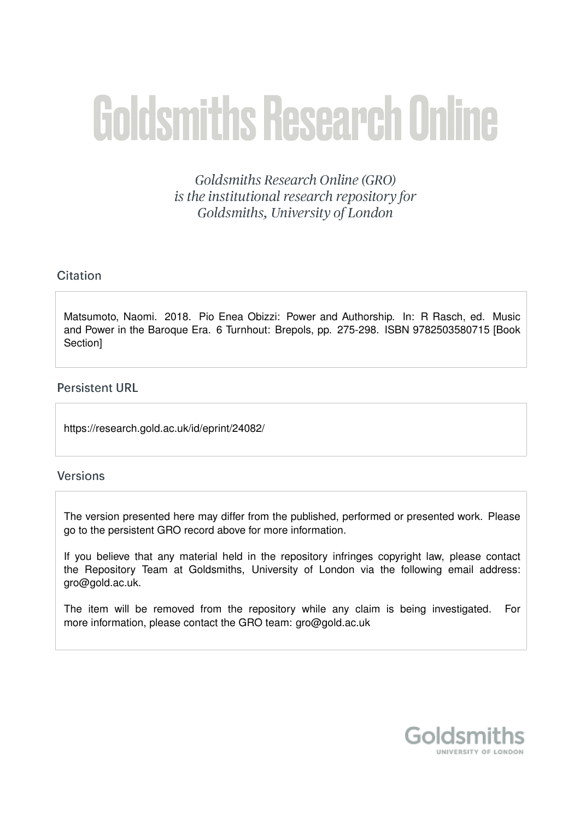# **Goldsmiths Research Online**

Goldsmiths Research Online (GRO) is the institutional research repository for Goldsmiths, University of London

# Citation

Matsumoto, Naomi. 2018. Pio Enea Obizzi: Power and Authorship. In: R Rasch, ed. Music and Power in the Baroque Era. 6 Turnhout: Brepols, pp. 275-298. ISBN 9782503580715 [Book Section]

# **Persistent URL**

https://research.gold.ac.uk/id/eprint/24082/

# **Versions**

The version presented here may differ from the published, performed or presented work. Please go to the persistent GRO record above for more information.

If you believe that any material held in the repository infringes copyright law, please contact the Repository Team at Goldsmiths, University of London via the following email address: gro@gold.ac.uk.

The item will be removed from the repository while any claim is being investigated. For more information, please contact the GRO team: gro@gold.ac.uk

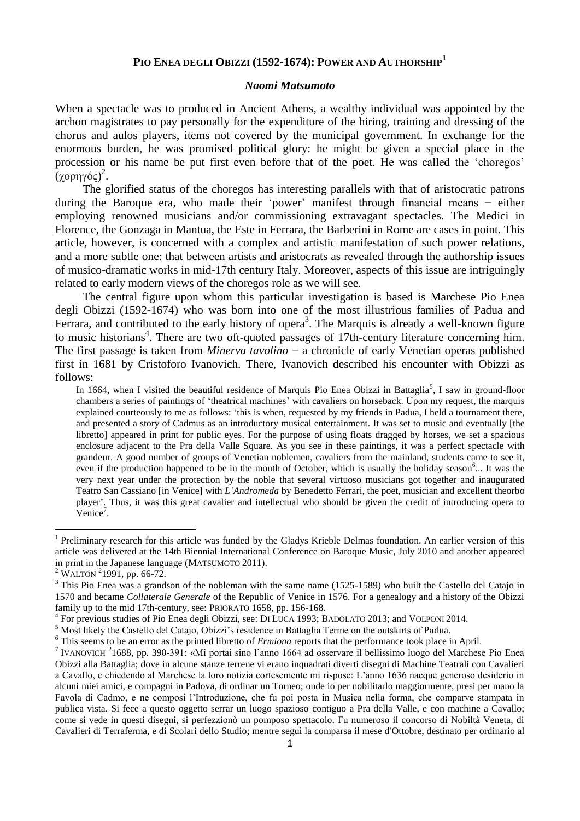# **PIO ENEA DEGLI OBIZZI (1592-1674): POWER AND AUTHORSHIP<sup>1</sup>**

#### *Naomi Matsumoto*

When a spectacle was to produced in Ancient Athens, a wealthy individual was appointed by the archon magistrates to pay personally for the expenditure of the hiring, training and dressing of the chorus and aulos players, items not covered by the municipal government. In exchange for the enormous burden, he was promised political glory: he might be given a special place in the procession or his name be put first even before that of the poet. He was called the 'choregos' .<br>(χορηγός)<sup>2</sup>.

The glorified status of the choregos has interesting parallels with that of aristocratic patrons during the Baroque era, who made their 'power' manifest through financial means − either employing renowned musicians and/or commissioning extravagant spectacles. The Medici in Florence, the Gonzaga in Mantua, the Este in Ferrara, the Barberini in Rome are cases in point. This article, however, is concerned with a complex and artistic manifestation of such power relations, and a more subtle one: that between artists and aristocrats as revealed through the authorship issues of musico-dramatic works in mid-17th century Italy. Moreover, aspects of this issue are intriguingly related to early modern views of the choregos role as we will see.

The central figure upon whom this particular investigation is based is Marchese Pio Enea degli Obizzi (1592-1674) who was born into one of the most illustrious families of Padua and Ferrara, and contributed to the early history of opera<sup>3</sup>. The Marquis is already a well-known figure to music historians<sup>4</sup>. There are two oft-quoted passages of 17th-century literature concerning him. The first passage is taken from *Minerva tavolino* − a chronicle of early Venetian operas published first in 1681 by Cristoforo Ivanovich. There, Ivanovich described his encounter with Obizzi as follows:

In 1664, when I visited the beautiful residence of Marquis Pio Enea Obizzi in Battaglia<sup>5</sup>, I saw in ground-floor chambers a series of paintings of 'theatrical machines' with cavaliers on horseback. Upon my request, the marquis explained courteously to me as follows: 'this is when, requested by my friends in Padua, I held a tournament there, and presented a story of Cadmus as an introductory musical entertainment. It was set to music and eventually [the libretto] appeared in print for public eyes. For the purpose of using floats dragged by horses, we set a spacious enclosure adjacent to the Pra della Valle Square. As you see in these paintings, it was a perfect spectacle with grandeur. A good number of groups of Venetian noblemen, cavaliers from the mainland, students came to see it, even if the production happened to be in the month of October, which is usually the holiday season<sup>6</sup>... It was the very next year under the protection by the noble that several virtuoso musicians got together and inaugurated Teatro San Cassiano [in Venice] with *L'Andromeda* by Benedetto Ferrari, the poet, musician and excellent theorbo player'. Thus, it was this great cavalier and intellectual who should be given the credit of introducing opera to  $V$ enice<sup>7</sup>.

<sup>&</sup>lt;sup>1</sup> Preliminary research for this article was funded by the Gladys Krieble Delmas foundation. An earlier version of this article was delivered at the 14th Biennial International Conference on Baroque Music, July 2010 and another appeared in print in the Japanese language (MATSUMOTO 2011).

<sup>&</sup>lt;sup>2</sup> WALTON <sup>2</sup>1991, pp. 66-72.

 $3$  This Pio Enea was a grandson of the nobleman with the same name (1525-1589) who built the Castello del Catajo in 1570 and became *Collaterale Generale* of the Republic of Venice in 1576. For a genealogy and a history of the Obizzi family up to the mid 17th-century, see: PRIORATO 1658, pp. 156-168.

<sup>4</sup> For previous studies of Pio Enea degli Obizzi, see: DI LUCA 1993; BADOLATO 2013; and VOLPONI 2014.

<sup>5</sup> Most likely the Castello del Catajo, Obizzi's residence in Battaglia Terme on the outskirts of Padua.

<sup>&</sup>lt;sup>6</sup> This seems to be an error as the printed libretto of *Ermiona* reports that the performance took place in April.

<sup>&</sup>lt;sup>7</sup> IVANOVICH<sup>2</sup>1688, pp. 390-391: «Mi portai sino l'anno 1664 ad osservare il bellissimo luogo del Marchese Pio Enea Obizzi alla Battaglia; dove in alcune stanze terrene vi erano inquadrati diverti disegni di Machine Teatrali con Cavalieri a Cavallo, e chiedendo al Marchese la loro notizia cortesemente mi rispose: L'anno 1636 nacque generoso desiderio in alcuni miei amici, e compagni in Padova, di ordinar un Torneo; onde io per nobilitarlo maggiormente, presi per mano la Favola di Cadmo, e ne composi l'Introduzione, che fu poi posta in Musica nella forma, che comparve stampata in publica vista. Si fece a questo oggetto serrar un luogo spazioso contiguo a Pra della Valle, e con machine a Cavallo; come si vede in questi disegni, si perfezzionò un pomposo spettacolo. Fu numeroso il concorso di Nobiltà Veneta, di Cavalieri di Terraferma, e di Scolari dello Studio; mentre seguì la comparsa il mese d'Ottobre, destinato per ordinario al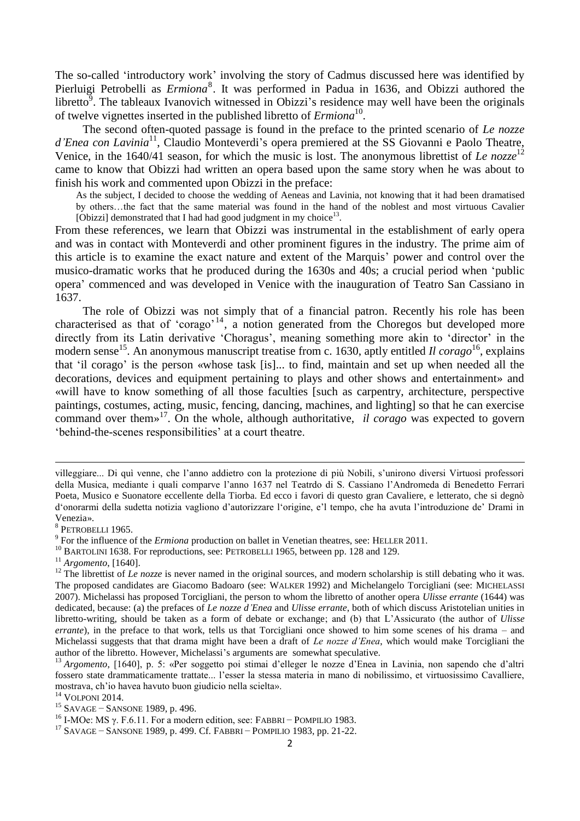The so-called 'introductory work' involving the story of Cadmus discussed here was identified by Pierluigi Petrobelli as *Ermiona*<sup>8</sup>. It was performed in Padua in 1636, and Obizzi authored the libretto $\overline{9}$ . The tableaux Ivanovich witnessed in Obizzi's residence may well have been the originals of twelve vignettes inserted in the published libretto of *Ermiona*<sup>10</sup>.

The second often-quoted passage is found in the preface to the printed scenario of *Le nozze*  d'Enea con Lavinia<sup>11</sup>, Claudio Monteverdi's opera premiered at the SS Giovanni e Paolo Theatre, Venice, in the 1640/41 season, for which the music is lost. The anonymous librettist of *Le nozze*<sup>12</sup> came to know that Obizzi had written an opera based upon the same story when he was about to finish his work and commented upon Obizzi in the preface:

As the subject, I decided to choose the wedding of Aeneas and Lavinia, not knowing that it had been dramatised by others…the fact that the same material was found in the hand of the noblest and most virtuous Cavalier [Obizzi] demonstrated that I had had good judgment in my choice $^{13}$ .

From these references, we learn that Obizzi was instrumental in the establishment of early opera and was in contact with Monteverdi and other prominent figures in the industry. The prime aim of this article is to examine the exact nature and extent of the Marquis' power and control over the musico-dramatic works that he produced during the 1630s and 40s; a crucial period when 'public opera' commenced and was developed in Venice with the inauguration of Teatro San Cassiano in 1637.

The role of Obizzi was not simply that of a financial patron. Recently his role has been characterised as that of 'corago'<sup>14</sup>, a notion generated from the Choregos but developed more directly from its Latin derivative 'Choragus', meaning something more akin to 'director' in the modern sense<sup>15</sup>. An anonymous manuscript treatise from c. 1630, aptly entitled *Il corago*<sup>16</sup>, explains that 'il corago' is the person «whose task [is]... to find, maintain and set up when needed all the decorations, devices and equipment pertaining to plays and other shows and entertainment» and «will have to know something of all those faculties [such as carpentry, architecture, perspective paintings, costumes, acting, music, fencing, dancing, machines, and lighting] so that he can exercise command over them»<sup>17</sup>. On the whole, although authoritative, *il corago* was expected to govern 'behind-the-scenes responsibilities' at a court theatre.

**.** 

<sup>11</sup> *Argomento*, [1640].

villeggiare... Di quì venne, che l'anno addietro con la protezione di più Nobili, s'unirono diversi Virtuosi professori della Musica, mediante i quali comparve l'anno 1637 nel Teatrdo di S. Cassiano l'Andromeda di Benedetto Ferrari Poeta, Musico e Suonatore eccellente della Tiorba. Ed ecco i favori di questo gran Cavaliere, e letterato, che si degnò d'onorarmi della sudetta notizia vagliono d'autorizzare l'origine, e'l tempo, che ha avuta l'introduzione de' Drami in Venezia».

<sup>8</sup> PETROBELLI 1965.

<sup>&</sup>lt;sup>9</sup> For the influence of the *Ermiona* production on ballet in Venetian theatres, see: HELLER 2011.

<sup>&</sup>lt;sup>10</sup> BARTOLINI 1638. For reproductions, see: PETROBELLI 1965, between pp. 128 and 129.

<sup>&</sup>lt;sup>12</sup> The librettist of *Le nozze* is never named in the original sources, and modern scholarship is still debating who it was. The proposed candidates are Giacomo Badoaro (see: WALKER 1992) and Michelangelo Torcigliani (see: MICHELASSI 2007). Michelassi has proposed Torcigliani, the person to whom the libretto of another opera *Ulisse errante* (1644) was dedicated, because: (a) the prefaces of *Le nozze d'Enea* and *Ulisse errante*, both of which discuss Aristotelian unities in libretto-writing, should be taken as a form of debate or exchange; and (b) that L'Assicurato (the author of *Ulisse errante*), in the preface to that work, tells us that Torcigliani once showed to him some scenes of his drama – and Michelassi suggests that that drama might have been a draft of *Le nozze d'Enea*, which would make Torcigliani the author of the libretto. However, Michelassi's arguments are somewhat speculative.

<sup>&</sup>lt;sup>13</sup> Argomento, [1640], p. 5: «Per soggetto poi stimai d'elleger le nozze d'Enea in Lavinia, non sapendo che d'altri fossero state drammaticamente trattate... l'esser la stessa materia in mano di nobilissimo, et virtuosissimo Cavalliere, mostrava, ch'io havea havuto buon giudicio nella scielta».

<sup>&</sup>lt;sup>14</sup> VOLPONI 2014.

<sup>15</sup> SAVAGE − SANSONE 1989, p. 496.

<sup>&</sup>lt;sup>16</sup> I-MOe: MS γ. F.6.11. For a modern edition, see: FABBRI – POMPILIO 1983.

<sup>17</sup> SAVAGE − SANSONE 1989, p. 499. Cf. FABBRI − POMPILIO 1983, pp. 21-22.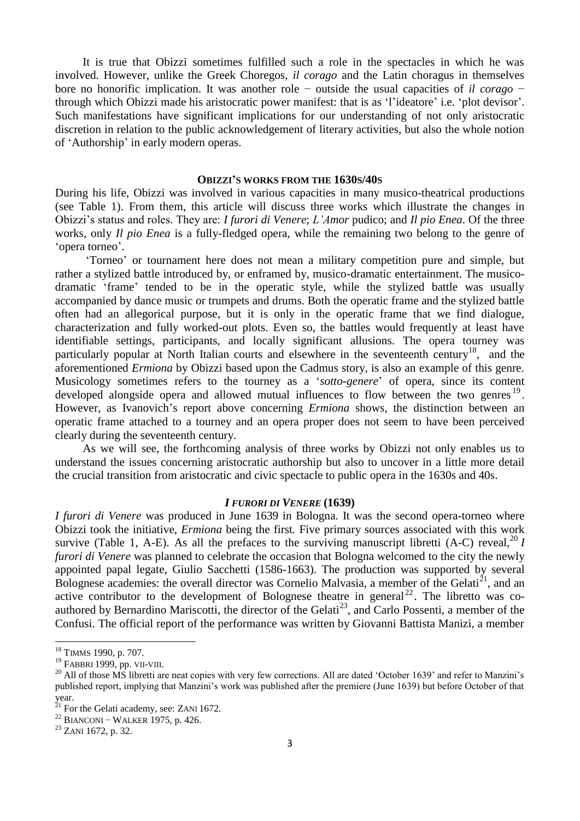It is true that Obizzi sometimes fulfilled such a role in the spectacles in which he was involved. However, unlike the Greek Choregos, *il corago* and the Latin choragus in themselves bore no honorific implication. It was another role − outside the usual capacities of *il corago* − through which Obizzi made his aristocratic power manifest: that is as 'l'ideatore' i.e. 'plot devisor'. Such manifestations have significant implications for our understanding of not only aristocratic discretion in relation to the public acknowledgement of literary activities, but also the whole notion of 'Authorship' in early modern operas.

#### **OBIZZI'S WORKS FROM THE 1630S/40S**

During his life, Obizzi was involved in various capacities in many musico-theatrical productions (see Table 1). From them, this article will discuss three works which illustrate the changes in Obizzi's status and roles. They are: *I furori di Venere*; *L'Amor* pudico; and *Il pio Enea*. Of the three works, only *Il pio Enea* is a fully-fledged opera, while the remaining two belong to the genre of 'opera torneo'.

'Torneo' or tournament here does not mean a military competition pure and simple, but rather a stylized battle introduced by, or enframed by, musico-dramatic entertainment. The musicodramatic 'frame' tended to be in the operatic style, while the stylized battle was usually accompanied by dance music or trumpets and drums. Both the operatic frame and the stylized battle often had an allegorical purpose, but it is only in the operatic frame that we find dialogue, characterization and fully worked-out plots. Even so, the battles would frequently at least have identifiable settings, participants, and locally significant allusions. The opera tourney was particularly popular at North Italian courts and elsewhere in the seventeenth century<sup>18</sup>, and the aforementioned *Ermiona* by Obizzi based upon the Cadmus story, is also an example of this genre. Musicology sometimes refers to the tourney as a '*sotto-genere*' of opera, since its content developed alongside opera and allowed mutual influences to flow between the two genres<sup>19</sup>. However, as Ivanovich's report above concerning *Ermiona* shows, the distinction between an operatic frame attached to a tourney and an opera proper does not seem to have been perceived clearly during the seventeenth century.

As we will see, the forthcoming analysis of three works by Obizzi not only enables us to understand the issues concerning aristocratic authorship but also to uncover in a little more detail the crucial transition from aristocratic and civic spectacle to public opera in the 1630s and 40s.

#### *I FURORI DI VENERE* **(1639)**

*I furori di Venere* was produced in June 1639 in Bologna. It was the second opera-torneo where Obizzi took the initiative, *Ermiona* being the first*.* Five primary sources associated with this work survive (Table 1, A-E). As all the prefaces to the surviving manuscript libretti (A-C) reveal,<sup>20</sup> *I furori di Venere* was planned to celebrate the occasion that Bologna welcomed to the city the newly appointed papal legate, Giulio Sacchetti (1586-1663). The production was supported by several Bolognese academies: the overall director was Cornelio Malvasia, a member of the Gelati<sup>21</sup>, and an active contributor to the development of Bolognese theatre in general  $22$ . The libretto was coauthored by Bernardino Mariscotti, the director of the Gelati<sup>23</sup>, and Carlo Possenti, a member of the Confusi. The official report of the performance was written by Giovanni Battista Manizi, a member

<sup>&</sup>lt;sup>18</sup> TIMMS 1990, p. 707.

<sup>19</sup> FABBRI 1999, pp. VII-VIII.

 $20$  All of those MS libretti are neat copies with very few corrections. All are dated 'October 1639' and refer to Manzini's published report, implying that Manzini's work was published after the premiere (June 1639) but before October of that year.

 $^{21}$  For the Gelati academy, see: ZANI 1672.

<sup>22</sup> BIANCONI − WALKER 1975, p. 426.

 $23$  ZANI 1672, p. 32.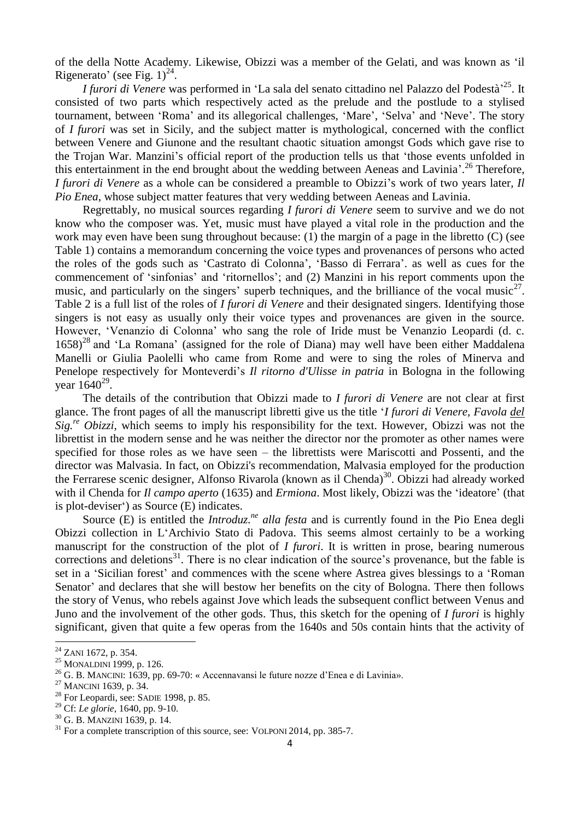of the della Notte Academy. Likewise, Obizzi was a member of the Gelati, and was known as 'il Rigenerato' (see Fig.  $1)^{24}$ .

I furori di Venere was performed in 'La sala del senato cittadino nel Palazzo del Podestà<sup>, 25</sup>. It consisted of two parts which respectively acted as the prelude and the postlude to a stylised tournament, between 'Roma' and its allegorical challenges, 'Mare', 'Selva' and 'Neve'. The story of *I furori* was set in Sicily, and the subject matter is mythological, concerned with the conflict between Venere and Giunone and the resultant chaotic situation amongst Gods which gave rise to the Trojan War. Manzini's official report of the production tells us that 'those events unfolded in this entertainment in the end brought about the wedding between Aeneas and Lavinia'. <sup>26</sup> Therefore, *I furori di Venere* as a whole can be considered a preamble to Obizzi's work of two years later*, Il Pio Enea*, whose subject matter features that very wedding between Aeneas and Lavinia.

Regrettably, no musical sources regarding *I furori di Venere* seem to survive and we do not know who the composer was. Yet, music must have played a vital role in the production and the work may even have been sung throughout because: (1) the margin of a page in the libretto (C) (see Table 1) contains a memorandum concerning the voice types and provenances of persons who acted the roles of the gods such as 'Castrato di Colonna', 'Basso di Ferrara'. as well as cues for the commencement of 'sinfonias' and 'ritornellos'; and (2) Manzini in his report comments upon the music, and particularly on the singers' superb techniques, and the brilliance of the vocal music<sup>27</sup>. Table 2 is a full list of the roles of *I furori di Venere* and their designated singers. Identifying those singers is not easy as usually only their voice types and provenances are given in the source. However, 'Venanzio di Colonna' who sang the role of Iride must be Venanzio Leopardi (d. c.  $1658$ <sup>28</sup> and 'La Romana' (assigned for the role of Diana) may well have been either Maddalena Manelli or Giulia Paolelli who came from Rome and were to sing the roles of Minerva and Penelope respectively for Monteverdi's *Il ritorno d'Ulisse in patria* in Bologna in the following year  $1640^{29}$ .

The details of the contribution that Obizzi made to *I furori di Venere* are not clear at first glance. The front pages of all the manuscript libretti give us the title '*I furori di Venere, Favola del Sig.re Obizzi*, which seems to imply his responsibility for the text. However, Obizzi was not the librettist in the modern sense and he was neither the director nor the promoter as other names were specified for those roles as we have seen – the librettists were Mariscotti and Possenti, and the director was Malvasia. In fact, on Obizzi's recommendation, Malvasia employed for the production the Ferrarese scenic designer, Alfonso Rivarola (known as il Chenda)<sup>30</sup>. Obizzi had already worked with il Chenda for *Il campo aperto* (1635) and *Ermiona*. Most likely, Obizzi was the 'ideatore' (that is plot-deviser') as Source (E) indicates.

Source (E) is entitled the *Introduz*.<sup>*ne*</sup> alla festa and is currently found in the Pio Enea degli Obizzi collection in L'Archivio Stato di Padova. This seems almost certainly to be a working manuscript for the construction of the plot of *I furori*. It is written in prose, bearing numerous corrections and deletions<sup>31</sup>. There is no clear indication of the source's provenance, but the fable is set in a 'Sicilian forest' and commences with the scene where Astrea gives blessings to a 'Roman Senator' and declares that she will bestow her benefits on the city of Bologna. There then follows the story of Venus, who rebels against Jove which leads the subsequent conflict between Venus and Juno and the involvement of the other gods. Thus, this sketch for the opening of *I furori* is highly significant, given that quite a few operas from the 1640s and 50s contain hints that the activity of

 $^{24}$  ZANI 1672, p. 354.

<sup>25</sup> MONALDINI 1999, p. 126.

<sup>&</sup>lt;sup>26</sup> G. B. MANCINI: 1639, pp. 69-70: « Accennavansi le future nozze d'Enea e di Lavinia».

<sup>27</sup> MANCINI 1639, p. 34.

<sup>&</sup>lt;sup>28</sup> For Leopardi, see: SADIE 1998, p. 85.

<sup>29</sup> Cf: *Le glorie*, 1640, pp. 9-10.

<sup>30</sup> G. B. MANZINI 1639, p. 14.

 $31$  For a complete transcription of this source, see: VOLPONI 2014, pp. 385-7.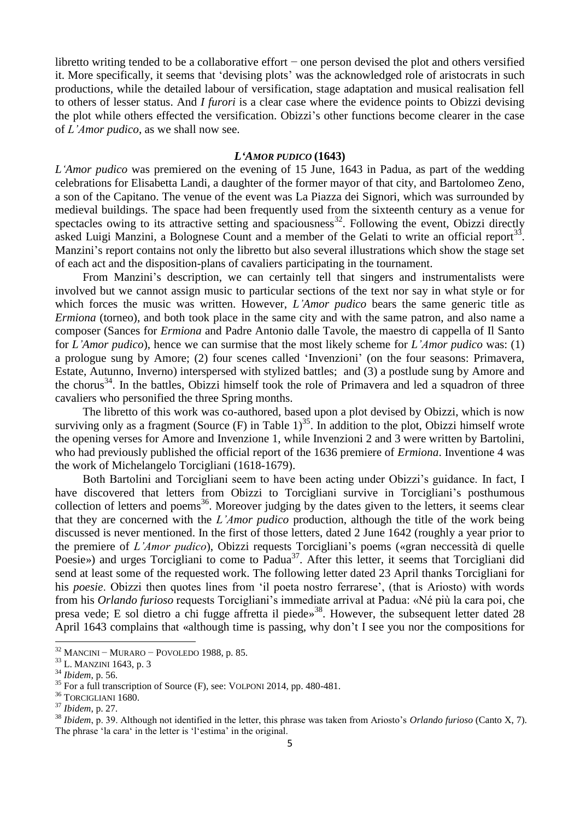libretto writing tended to be a collaborative effort − one person devised the plot and others versified it. More specifically, it seems that 'devising plots' was the acknowledged role of aristocrats in such productions, while the detailed labour of versification, stage adaptation and musical realisation fell to others of lesser status. And *I furori* is a clear case where the evidence points to Obizzi devising the plot while others effected the versification. Obizzi's other functions become clearer in the case of *L'Amor pudico*, as we shall now see.

#### *L'AMOR PUDICO* **(1643)**

*L'Amor pudico* was premiered on the evening of 15 June, 1643 in Padua, as part of the wedding celebrations for Elisabetta Landi, a daughter of the former mayor of that city, and Bartolomeo Zeno, a son of the Capitano. The venue of the event was La Piazza dei Signori, which was surrounded by medieval buildings. The space had been frequently used from the sixteenth century as a venue for spectacles owing to its attractive setting and spaciousness<sup>32</sup>. Following the event, Obizzi directly asked Luigi Manzini, a Bolognese Count and a member of the Gelati to write an official report<sup>33</sup>. Manzini's report contains not only the libretto but also several illustrations which show the stage set of each act and the disposition-plans of cavaliers participating in the tournament.

From Manzini's description, we can certainly tell that singers and instrumentalists were involved but we cannot assign music to particular sections of the text nor say in what style or for which forces the music was written. However, *L'Amor pudico* bears the same generic title as *Ermiona* (torneo), and both took place in the same city and with the same patron, and also name a composer (Sances for *Ermiona* and Padre Antonio dalle Tavole, the maestro di cappella of Il Santo for *L'Amor pudico*), hence we can surmise that the most likely scheme for *L'Amor pudico* was: (1) a prologue sung by Amore; (2) four scenes called 'Invenzioni' (on the four seasons: Primavera, Estate, Autunno, Inverno) interspersed with stylized battles; and (3) a postlude sung by Amore and the chorus<sup>34</sup>. In the battles, Obizzi himself took the role of Primavera and led a squadron of three cavaliers who personified the three Spring months.

The libretto of this work was co-authored, based upon a plot devised by Obizzi, which is now surviving only as a fragment (Source  $(F)$  in Table  $1$ )<sup>35</sup>. In addition to the plot, Obizzi himself wrote the opening verses for Amore and Invenzione 1, while Invenzioni 2 and 3 were written by Bartolini, who had previously published the official report of the 1636 premiere of *Ermiona*. Inventione 4 was the work of Michelangelo Torcigliani (1618-1679).

Both Bartolini and Torcigliani seem to have been acting under Obizzi's guidance. In fact, I have discovered that letters from Obizzi to Torcigliani survive in Torcigliani's posthumous collection of letters and poems<sup>36</sup>. Moreover judging by the dates given to the letters, it seems clear that they are concerned with the *L'Amor pudico* production, although the title of the work being discussed is never mentioned. In the first of those letters, dated 2 June 1642 (roughly a year prior to the premiere of *L'Amor pudico*), Obizzi requests Torcigliani's poems («gran neccessità di quelle Poesie») and urges Torcigliani to come to Padua<sup>37</sup>. After this letter, it seems that Torcigliani did send at least some of the requested work. The following letter dated 23 April thanks Torcigliani for his *poesie*. Obizzi then quotes lines from 'il poeta nostro ferrarese', (that is Ariosto) with words from his *Orlando furioso* requests Torcigliani's immediate arrival at Padua: «Né più la cara poi, che presa vede; E sol dietro a chi fugge affretta il piede»<sup>38</sup>. However, the subsequent letter dated 28 April 1643 complains that «although time is passing, why don't I see you nor the compositions for

 $32$  MANCINI – MURARO – POVOLEDO 1988, p. 85.

<sup>33</sup> L. MANZINI 1643, p. 3

<sup>34</sup> *Ibidem*, p. 56.

<sup>&</sup>lt;sup>35</sup> For a full transcription of Source (F), see: VOLPONI 2014, pp. 480-481.

<sup>&</sup>lt;sup>36</sup> TORCIGLIANI 1680.

<sup>37</sup> *Ibidem*, p. 27.

<sup>38</sup> *Ibidem*, p. 39. Although not identified in the letter, this phrase was taken from Ariosto's *Orlando furioso* (Canto X, 7). The phrase 'la cara' in the letter is 'l'estima' in the original.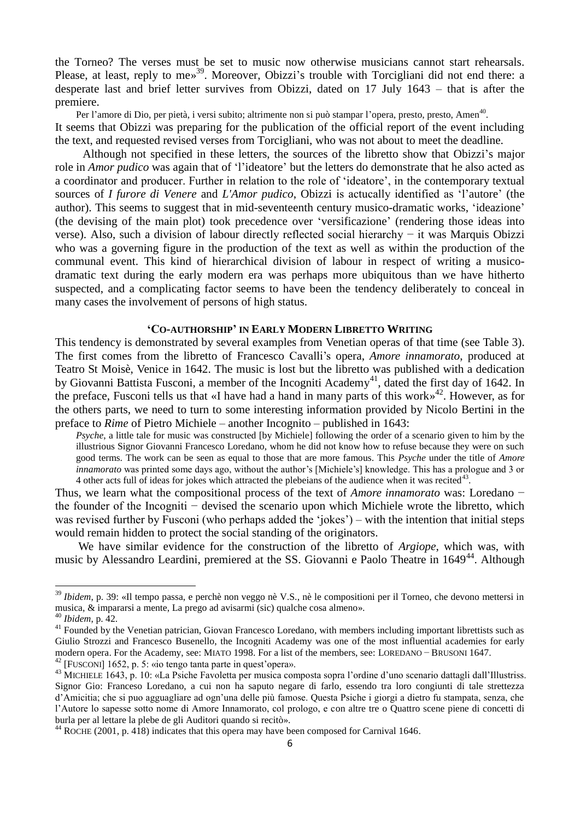the Torneo? The verses must be set to music now otherwise musicians cannot start rehearsals. Please, at least, reply to me»<sup>39</sup>. Moreover, Obizzi's trouble with Torcigliani did not end there: a desperate last and brief letter survives from Obizzi, dated on 17 July 1643 – that is after the premiere.

Per l'amore di Dio, per pietà, i versi subito; altrimente non si può stampar l'opera, presto, presto, Amen<sup>40</sup>. It seems that Obizzi was preparing for the publication of the official report of the event including the text, and requested revised verses from Torcigliani, who was not about to meet the deadline.

Although not specified in these letters, the sources of the libretto show that Obizzi's major role in *Amor pudico* was again that of 'l'ideatore' but the letters do demonstrate that he also acted as a coordinator and producer. Further in relation to the role of 'ideatore', in the contemporary textual sources of *I furore di Venere* and *L'Amor pudico*, Obizzi is actucally identified as 'l'autore' (the author). This seems to suggest that in mid-seventeenth century musico-dramatic works, 'ideazione' (the devising of the main plot) took precedence over 'versificazione' (rendering those ideas into verse). Also, such a division of labour directly reflected social hierarchy − it was Marquis Obizzi who was a governing figure in the production of the text as well as within the production of the communal event. This kind of hierarchical division of labour in respect of writing a musicodramatic text during the early modern era was perhaps more ubiquitous than we have hitherto suspected, and a complicating factor seems to have been the tendency deliberately to conceal in many cases the involvement of persons of high status.

#### **'CO-AUTHORSHIP' IN EARLY MODERN LIBRETTO WRITING**

This tendency is demonstrated by several examples from Venetian operas of that time (see Table 3). The first comes from the libretto of Francesco Cavalli's opera, *Amore innamorato*, produced at Teatro St Moisè, Venice in 1642. The music is lost but the libretto was published with a dedication by Giovanni Battista Fusconi, a member of the Incogniti Academy<sup>41</sup>, dated the first day of 1642. In the preface, Fusconi tells us that «I have had a hand in many parts of this work» 42 . However, as for the others parts, we need to turn to some interesting information provided by Nicolo Bertini in the preface to *Rime* of Pietro Michiele – another Incognito – published in 1643:

*Psyche*, a little tale for music was constructed [by Michiele] following the order of a scenario given to him by the illustrious Signor Giovanni Francesco Loredano, whom he did not know how to refuse because they were on such good terms. The work can be seen as equal to those that are more famous. This *Psyche* under the title of *Amore innamorato* was printed some days ago, without the author's [Michiele's] knowledge. This has a prologue and 3 or  $4$  other acts full of ideas for jokes which attracted the plebeians of the audience when it was recited<sup>43</sup>.

Thus, we learn what the compositional process of the text of *Amore innamorato* was: Loredano − the founder of the Incogniti − devised the scenario upon which Michiele wrote the libretto, which was revised further by Fusconi (who perhaps added the 'jokes') – with the intention that initial steps would remain hidden to protect the social standing of the originators.

 We have similar evidence for the construction of the libretto of *Argiope*, which was, with music by Alessandro Leardini, premiered at the SS. Giovanni e Paolo Theatre in 1649<sup>44</sup>. Although

1

<sup>39</sup> *Ibidem*, p. 39: «Il tempo passa, e perchè non veggo nè V.S., nè le compositioni per il Torneo, che devono mettersi in musica, & impararsi a mente, La prego ad avisarmi (sic) qualche cosa almeno».

<sup>40</sup> *Ibidem*, p. 42.

<sup>41</sup> Founded by the Venetian patrician, Giovan Francesco Loredano, with members including important librettists such as Giulio Strozzi and Francesco Busenello, the Incogniti Academy was one of the most influential academies for early modern opera. For the Academy, see: MIATO 1998. For a list of the members, see: LOREDANO − BRUSONI 1647. <sup>42</sup> [FUSCONI] 1652, p. 5: «io tengo tanta parte in quest'opera».

<sup>43</sup> MICHIELE 1643, p. 10: «La Psiche Favoletta per musica composta sopra l'ordine d'uno scenario dattagli dall'Illustriss. Signor Gio: Franceso Loredano, a cui non ha saputo negare di farlo, essendo tra loro congiunti di tale strettezza d'Amicitia; che si puo agguagliare ad ogn'una delle più famose. Questa Psiche i giorgi a dietro fu stampata, senza, che l'Autore lo sapesse sotto nome di Amore Innamorato, col prologo, e con altre tre o Quattro scene piene di concetti di burla per al lettare la plebe de gli Auditori quando si recitò».

<sup>44</sup> ROCHE (2001, p. 418) indicates that this opera may have been composed for Carnival 1646.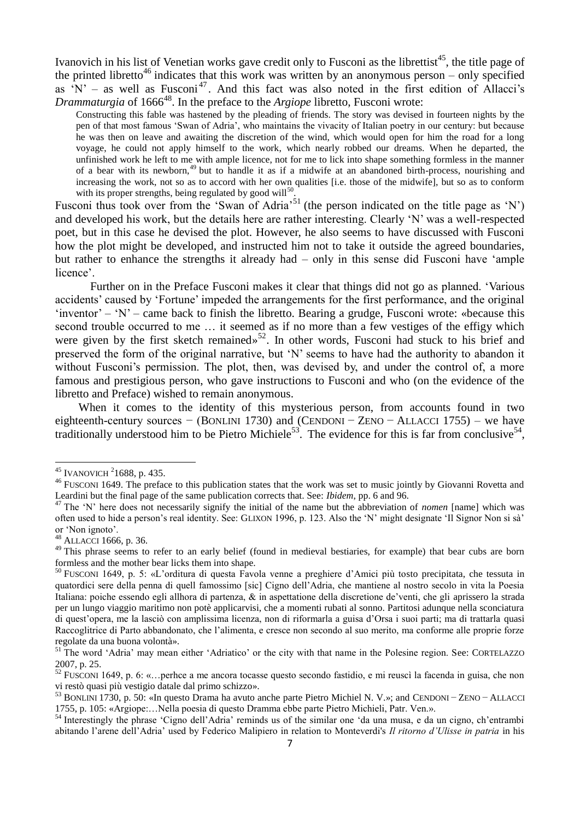Ivanovich in his list of Venetian works gave credit only to Fusconi as the librettist<sup>45</sup>, the title page of the printed libretto<sup>46</sup> indicates that this work was written by an anonymous person – only specified as  $N'$  – as well as Fusconi<sup>47</sup>. And this fact was also noted in the first edition of Allacci's Drammaturgia of 1666<sup>48</sup>. In the preface to the *Argiope* libretto, Fusconi wrote:

Constructing this fable was hastened by the pleading of friends. The story was devised in fourteen nights by the pen of that most famous 'Swan of Adria', who maintains the vivacity of Italian poetry in our century: but because he was then on leave and awaiting the discretion of the wind, which would open for him the road for a long voyage, he could not apply himself to the work, which nearly robbed our dreams. When he departed, the unfinished work he left to me with ample licence, not for me to lick into shape something formless in the manner of a bear with its newborn,<sup>49</sup> but to handle it as if a midwife at an abandoned birth-process, nourishing and increasing the work, not so as to accord with her own qualities [i.e. those of the midwife], but so as to conform with its proper strengths, being regulated by good will $50$ .

Fusconi thus took over from the 'Swan of Adria'<sup>51</sup> (the person indicated on the title page as 'N') and developed his work, but the details here are rather interesting. Clearly 'N' was a well-respected poet, but in this case he devised the plot. However, he also seems to have discussed with Fusconi how the plot might be developed, and instructed him not to take it outside the agreed boundaries, but rather to enhance the strengths it already had – only in this sense did Fusconi have 'ample licence'.

Further on in the Preface Fusconi makes it clear that things did not go as planned. 'Various accidents' caused by 'Fortune' impeded the arrangements for the first performance, and the original 'inventor' – 'N' – came back to finish the libretto. Bearing a grudge, Fusconi wrote: «because this second trouble occurred to me … it seemed as if no more than a few vestiges of the effigy which were given by the first sketch remained»<sup>52</sup>. In other words, Fusconi had stuck to his brief and preserved the form of the original narrative, but 'N' seems to have had the authority to abandon it without Fusconi's permission. The plot, then, was devised by, and under the control of, a more famous and prestigious person, who gave instructions to Fusconi and who (on the evidence of the libretto and Preface) wished to remain anonymous.

 When it comes to the identity of this mysterious person, from accounts found in two eighteenth-century sources – (BONLINI 1730) and (CENDONI – ZENO – ALLACCI 1755) – we have traditionally understood him to be Pietro Michiele<sup>53</sup>. The evidence for this is far from conclusive<sup>54</sup>,

 $45$  IVANOVICH  $2$ 1688, p. 435.

<sup>&</sup>lt;sup>46</sup> FUSCONI 1649. The preface to this publication states that the work was set to music jointly by Giovanni Rovetta and Leardini but the final page of the same publication corrects that. See: *Ibidem*, pp. 6 and 96.

<sup>&</sup>lt;sup>47</sup> The 'N' here does not necessarily signify the initial of the name but the abbreviation of *nomen* [name] which was often used to hide a person's real identity. See: GLIXON 1996, p. 123. Also the 'N' might designate 'Il Signor Non si sà' or 'Non ignoto'.

<sup>48</sup> ALLACCI 1666, p. 36.

<sup>&</sup>lt;sup>49</sup> This phrase seems to refer to an early belief (found in medieval bestiaries, for example) that bear cubs are born formless and the mother bear licks them into shape.

<sup>50</sup> FUSCONI 1649, p. 5: «L'orditura di questa Favola venne a preghiere d'Amici più tosto precipitata, che tessuta in quatordici sere della penna di quell famossimo [sic] Cigno dell'Adria, che mantiene al nostro secolo in vita la Poesia Italiana: poiche essendo egli allhora di partenza, & in aspettatione della discretione de'venti, che gli aprissero la strada per un lungo viaggio maritimo non potè applicarvisi, che a momenti rubati al sonno. Partitosi adunque nella sconciatura di quest'opera, me la lasciò con amplissima licenza, non di riformarla a guisa d'Orsa i suoi parti; ma di trattarla quasi Raccoglitrice di Parto abbandonato, che l'alimenta, e cresce non secondo al suo merito, ma conforme alle proprie forze regolate da una buona volontà».

<sup>&</sup>lt;sup>51</sup> The word 'Adria' may mean either 'Adriatico' or the city with that name in the Polesine region. See: CORTELAZZO 2007, p. 25.

<sup>52</sup> FUSCONI 1649, p. 6: «…perhce a me ancora tocasse questo secondo fastidio, e mi reuscì la facenda in guisa, che non vi restò quasi più vestigio datale dal primo schizzo».

<sup>53</sup> BONLINI 1730, p. 50: «In questo Drama ha avuto anche parte Pietro Michiel N. V.»; and CENDONI − ZENO − ALLACCI 1755, p. 105: «Argiope:…Nella poesia di questo Dramma ebbe parte Pietro Michieli, Patr. Ven.».

<sup>54</sup> Interestingly the phrase 'Cigno dell'Adria' reminds us of the similar one 'da una musa, e da un cigno, ch'entrambi abitando l'arene dell'Adria' used by Federico Malipiero in relation to Monteverdi's *Il ritorno d'Ulisse in patria* in his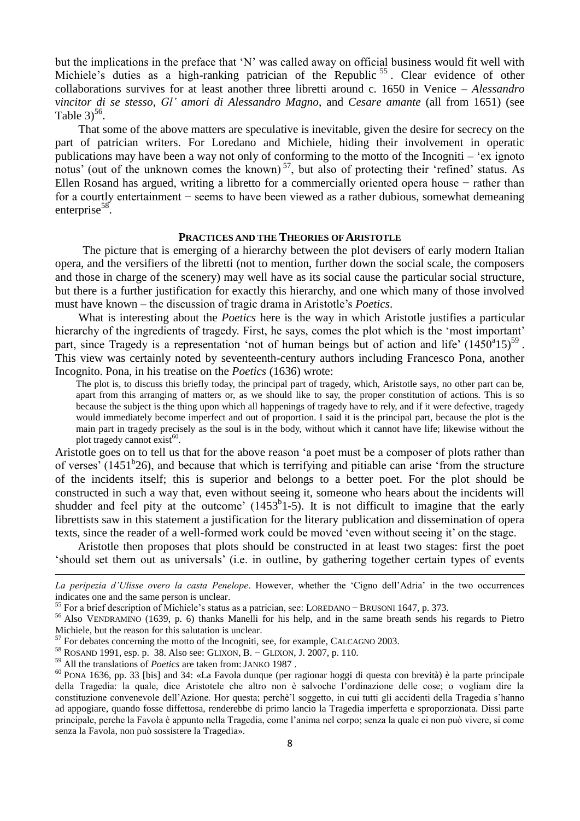but the implications in the preface that 'N' was called away on official business would fit well with Michiele's duties as a high-ranking patrician of the Republic<sup>55</sup>. Clear evidence of other collaborations survives for at least another three libretti around c. 1650 in Venice – *Alessandro vincitor di se stesso*, *Gl' amori di Alessandro Magno*, and *Cesare amante* (all from 1651) (see Table  $3)^{56}$ .

 That some of the above matters are speculative is inevitable, given the desire for secrecy on the part of patrician writers. For Loredano and Michiele, hiding their involvement in operatic publications may have been a way not only of conforming to the motto of the Incogniti – 'ex ignoto notus' (out of the unknown comes the known)<sup>57</sup>, but also of protecting their 'refined' status. As Ellen Rosand has argued, writing a libretto for a commercially oriented opera house − rather than for a courtly entertainment − seems to have been viewed as a rather dubious, somewhat demeaning enterprise<sup>58</sup>.

#### **PRACTICES AND THE THEORIES OF ARISTOTLE**

The picture that is emerging of a hierarchy between the plot devisers of early modern Italian opera, and the versifiers of the libretti (not to mention, further down the social scale, the composers and those in charge of the scenery) may well have as its social cause the particular social structure, but there is a further justification for exactly this hierarchy, and one which many of those involved must have known – the discussion of tragic drama in Aristotle's *Poetics*.

 What is interesting about the *Poetics* here is the way in which Aristotle justifies a particular hierarchy of the ingredients of tragedy. First, he says, comes the plot which is the 'most important' part, since Tragedy is a representation 'not of human beings but of action and life'  $(1450^a 15)^{59}$ . This view was certainly noted by seventeenth-century authors including Francesco Pona, another Incognito. Pona, in his treatise on the *Poetics* (1636) wrote:

The plot is, to discuss this briefly today, the principal part of tragedy, which, Aristotle says, no other part can be, apart from this arranging of matters or, as we should like to say, the proper constitution of actions. This is so because the subject is the thing upon which all happenings of tragedy have to rely, and if it were defective, tragedy would immediately become imperfect and out of proportion. I said it is the principal part, because the plot is the main part in tragedy precisely as the soul is in the body, without which it cannot have life; likewise without the plot tragedy cannot exist<sup>60</sup>.

Aristotle goes on to tell us that for the above reason 'a poet must be a composer of plots rather than of verses<sup> $\cdot$ </sup> (1451<sup>b</sup>26), and because that which is terrifying and pitiable can arise 'from the structure of the incidents itself; this is superior and belongs to a better poet. For the plot should be constructed in such a way that, even without seeing it, someone who hears about the incidents will shudder and feel pity at the outcome'  $(1453<sup>b</sup>1-5)$ . It is not difficult to imagine that the early librettists saw in this statement a justification for the literary publication and dissemination of opera texts, since the reader of a well-formed work could be moved 'even without seeing it' on the stage.

 Aristotle then proposes that plots should be constructed in at least two stages: first the poet 'should set them out as universals' (i.e. in outline, by gathering together certain types of events

*La peripezia d'Ulisse overo la casta Penelope*. However, whether the 'Cigno dell'Adria' in the two occurrences indicates one and the same person is unclear.

<sup>55</sup> For a brief description of Michiele's status as a patrician, see: LOREDANO − BRUSONI 1647, p. 373.

<sup>&</sup>lt;sup>56</sup> Also VENDRAMINO (1639, p. 6) thanks Manelli for his help, and in the same breath sends his regards to Pietro Michiele, but the reason for this salutation is unclear.

<sup>&</sup>lt;sup>57</sup> For debates concerning the motto of the Incogniti, see, for example, CALCAGNO 2003.

<sup>58</sup> ROSAND 1991, esp. p. 38. Also see: GLIXON, B. − GLIXON, J. 2007, p. 110.

<sup>59</sup> All the translations of *Poetics* are taken from: JANKO 1987 .

 $60$  PONA 1636, pp. 33 [bis] and 34: «La Favola dunque (per ragionar hoggi di questa con brevità) è la parte principale della Tragedia: la quale, dice Aristotele che altro non è salvoche l'ordinazione delle cose; o vogliam dire la constituzione convenevole dell'Azione. Hor questa; perchè'l soggetto, in cui tutti gli accidenti della Tragedia s'hanno ad appogiare, quando fosse diffettosa, renderebbe di primo lancio la Tragedia imperfetta e sproporzionata. Dissi parte principale, perche la Favola è appunto nella Tragedia, come l'anima nel corpo; senza la quale ei non può vivere, si come senza la Favola, non può sossistere la Tragedia».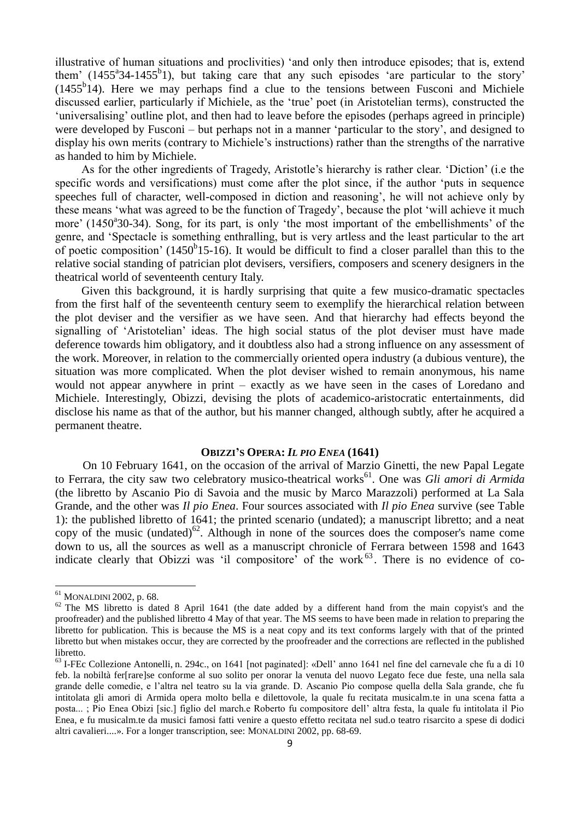illustrative of human situations and proclivities) 'and only then introduce episodes; that is, extend them'  $(1455^{\circ}34-1455^{\circ}1)$ , but taking care that any such episodes 'are particular to the story'  $(1455<sup>b</sup>)<sup>i</sup>4$ ). Here we may perhaps find a clue to the tensions between Fusconi and Michiele discussed earlier, particularly if Michiele, as the 'true' poet (in Aristotelian terms), constructed the 'universalising' outline plot, and then had to leave before the episodes (perhaps agreed in principle) were developed by Fusconi – but perhaps not in a manner 'particular to the story', and designed to display his own merits (contrary to Michiele's instructions) rather than the strengths of the narrative as handed to him by Michiele.

As for the other ingredients of Tragedy, Aristotle's hierarchy is rather clear. 'Diction' (i.e the specific words and versifications) must come after the plot since, if the author 'puts in sequence speeches full of character, well-composed in diction and reasoning', he will not achieve only by these means 'what was agreed to be the function of Tragedy', because the plot 'will achieve it much more' (1450<sup>a</sup>30-34). Song, for its part, is only 'the most important of the embellishments' of the genre, and 'Spectacle is something enthralling, but is very artless and the least particular to the art of poetic composition' (1450 $b$ 15-16). It would be difficult to find a closer parallel than this to the relative social standing of patrician plot devisers, versifiers, composers and scenery designers in the theatrical world of seventeenth century Italy.

Given this background, it is hardly surprising that quite a few musico-dramatic spectacles from the first half of the seventeenth century seem to exemplify the hierarchical relation between the plot deviser and the versifier as we have seen. And that hierarchy had effects beyond the signalling of 'Aristotelian' ideas. The high social status of the plot deviser must have made deference towards him obligatory, and it doubtless also had a strong influence on any assessment of the work. Moreover, in relation to the commercially oriented opera industry (a dubious venture), the situation was more complicated. When the plot deviser wished to remain anonymous, his name would not appear anywhere in print – exactly as we have seen in the cases of Loredano and Michiele. Interestingly, Obizzi, devising the plots of academico-aristocratic entertainments, did disclose his name as that of the author, but his manner changed, although subtly, after he acquired a permanent theatre.

#### **OBIZZI'S OPERA:** *IL PIO ENEA* **(1641)**

On 10 February 1641, on the occasion of the arrival of Marzio Ginetti, the new Papal Legate to Ferrara, the city saw two celebratory musico-theatrical works<sup>61</sup>. One was *Gli amori di Armida* (the libretto by Ascanio Pio di Savoia and the music by Marco Marazzoli) performed at La Sala Grande, and the other was *Il pio Enea*. Four sources associated with *Il pio Enea* survive (see Table 1): the published libretto of 1641; the printed scenario (undated); a manuscript libretto; and a neat copy of the music (undated)<sup>62</sup>. Although in none of the sources does the composer's name come down to us, all the sources as well as a manuscript chronicle of Ferrara between 1598 and 1643 indicate clearly that Obizzi was 'il compositore' of the work $^{63}$ . There is no evidence of co-

1

<sup>61</sup> MONALDINI 2002, p. 68.

 $62$  The MS libretto is dated 8 April 1641 (the date added by a different hand from the main copyist's and the proofreader) and the published libretto 4 May of that year. The MS seems to have been made in relation to preparing the libretto for publication. This is because the MS is a neat copy and its text conforms largely with that of the printed libretto but when mistakes occur, they are corrected by the proofreader and the corrections are reflected in the published libretto.

<sup>63</sup> I-FEc Collezione Antonelli, n. 294c., on 1641 [not paginated]: «Dell' anno 1641 nel fine del carnevale che fu a di 10 feb. la nobiltà fer[rare]se conforme al suo solito per onorar la venuta del nuovo Legato fece due feste, una nella sala grande delle comedie, e l'altra nel teatro su la via grande. D. Ascanio Pio compose quella della Sala grande, che fu intitolata gli amori di Armida opera molto bella e dilettovole, la quale fu recitata musicalm.te in una scena fatta a posta... ; Pio Enea Obizi [sic.] figlio del march.e Roberto fu compositore dell' altra festa, la quale fu intitolata il Pio Enea, e fu musicalm.te da musici famosi fatti venire a questo effetto recitata nel sud.o teatro risarcito a spese di dodici altri cavalieri....». For a longer transcription, see: MONALDINI 2002, pp. 68-69.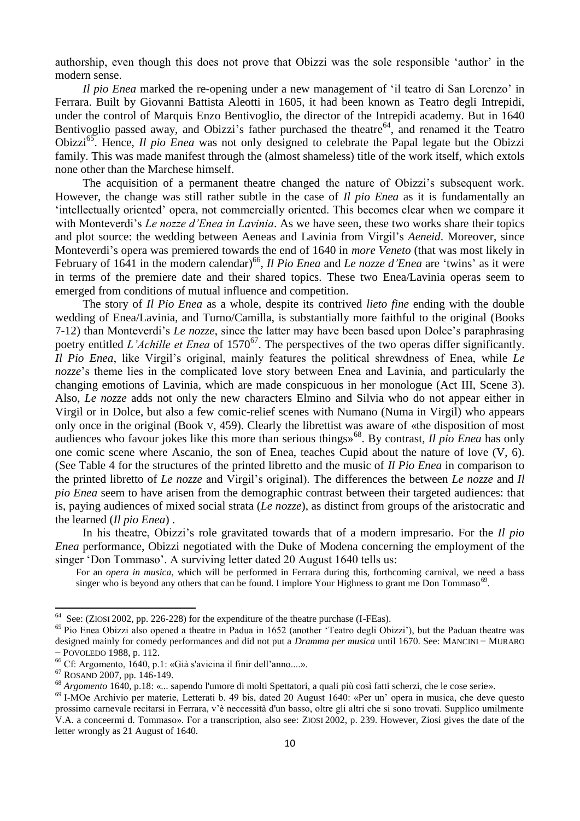authorship, even though this does not prove that Obizzi was the sole responsible 'author' in the modern sense.

*Il pio Enea* marked the re-opening under a new management of 'il teatro di San Lorenzo' in Ferrara. Built by Giovanni Battista Aleotti in 1605, it had been known as Teatro degli Intrepidi, under the control of Marquis Enzo Bentivoglio, the director of the Intrepidi academy. But in 1640 Bentivoglio passed away, and Obizzi's father purchased the theatre<sup>64</sup>, and renamed it the Teatro Obizzi<sup>65</sup>. Hence, *Il pio Enea* was not only designed to celebrate the Papal legate but the Obizzi family. This was made manifest through the (almost shameless) title of the work itself, which extols none other than the Marchese himself.

The acquisition of a permanent theatre changed the nature of Obizzi's subsequent work. However, the change was still rather subtle in the case of *Il pio Enea* as it is fundamentally an 'intellectually oriented' opera, not commercially oriented. This becomes clear when we compare it with Monteverdi's *Le nozze d'Enea in Lavinia*. As we have seen, these two works share their topics and plot source: the wedding between Aeneas and Lavinia from Virgil's *Aeneid*. Moreover, since Monteverdi's opera was premiered towards the end of 1640 in *more Veneto* (that was most likely in February of 1641 in the modern calendar)<sup>66</sup>, *Il Pio Enea* and *Le nozze d'Enea* are 'twins' as it were in terms of the premiere date and their shared topics. These two Enea/Lavinia operas seem to emerged from conditions of mutual influence and competition.

The story of *Il Pio Enea* as a whole, despite its contrived *lieto fine* ending with the double wedding of Enea/Lavinia, and Turno/Camilla, is substantially more faithful to the original (Books 7-12) than Monteverdi's *Le nozze*, since the latter may have been based upon Dolce's paraphrasing poetry entitled *L'Achille et Enea* of 1570<sup>67</sup>. The perspectives of the two operas differ significantly. *Il Pio Enea*, like Virgil's original, mainly features the political shrewdness of Enea, while *Le nozze*'s theme lies in the complicated love story between Enea and Lavinia, and particularly the changing emotions of Lavinia, which are made conspicuous in her monologue (Act III, Scene 3). Also, *Le nozze* adds not only the new characters Elmino and Silvia who do not appear either in Virgil or in Dolce, but also a few comic-relief scenes with Numano (Numa in Virgil) who appears only once in the original (Book V, 459). Clearly the librettist was aware of «the disposition of most audiences who favour jokes like this more than serious things»<sup>68</sup>. By contrast, *Il pio Enea* has only one comic scene where Ascanio, the son of Enea, teaches Cupid about the nature of love (V, 6). (See Table 4 for the structures of the printed libretto and the music of *Il Pio Enea* in comparison to the printed libretto of *Le nozze* and Virgil's original). The differences the between *Le nozze* and *Il pio Enea* seem to have arisen from the demographic contrast between their targeted audiences: that is, paying audiences of mixed social strata (*Le nozze*), as distinct from groups of the aristocratic and the learned (*Il pio Enea*) .

In his theatre, Obizzi's role gravitated towards that of a modern impresario. For the *Il pio Enea* performance, Obizzi negotiated with the Duke of Modena concerning the employment of the singer 'Don Tommaso'. A surviving letter dated 20 August 1640 tells us:

For an *opera in musica*, which will be performed in Ferrara during this, forthcoming carnival, we need a bass singer who is beyond any others that can be found. I implore Your Highness to grant me Don Tommaso<sup>69</sup>.

<sup>&</sup>lt;sup>64</sup> See: (ZIOSI 2002, pp. 226-228) for the expenditure of the theatre purchase (I-FEas).

<sup>&</sup>lt;sup>65</sup> Pio Enea Obizzi also opened a theatre in Padua in 1652 (another 'Teatro degli Obizzi'), but the Paduan theatre was designed mainly for comedy performances and did not put a *Dramma per musica* until 1670. See: MANCINI − MURARO − POVOLEDO 1988, p. 112.

<sup>66</sup> Cf: Argomento, 1640, p.1: «Già s'avicina il finir dell'anno....».

<sup>67</sup> ROSAND 2007, pp. 146-149.

<sup>68</sup> *Argomento* 1640, p.18: «... sapendo l'umore di molti Spettatori, a quali più così fatti scherzi, che le cose serie».

 $69$  I-MOe Archivio per materie, Letterati b. 49 bis, dated 20 August 1640: «Per un' opera in musica, che deve questo prossimo carnevale recitarsi in Ferrara, v'è neccessità d'un basso, oltre gli altri che si sono trovati. Supplico umilmente V.A. a conceermi d. Tommaso». For a transcription, also see: ZIOSI 2002, p. 239. However, Ziosi gives the date of the letter wrongly as 21 August of 1640.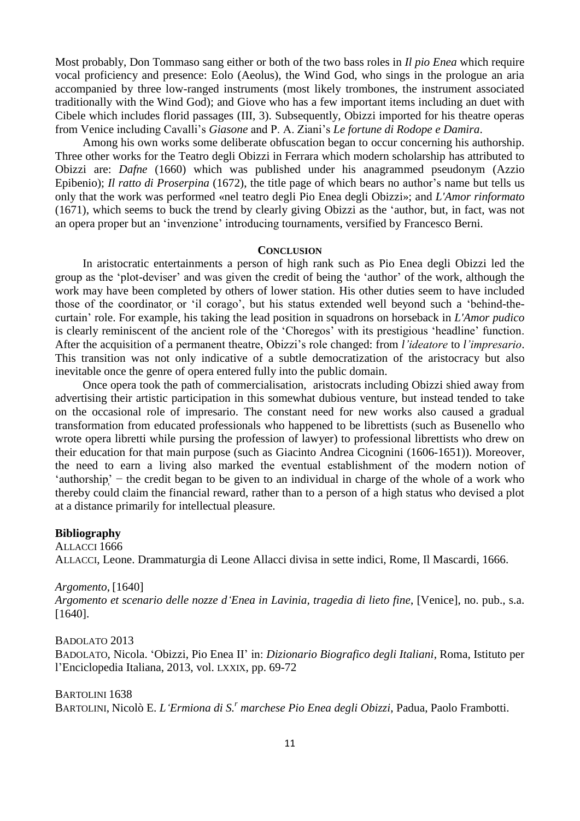Most probably, Don Tommaso sang either or both of the two bass roles in *Il pio Enea* which require vocal proficiency and presence: Eolo (Aeolus), the Wind God, who sings in the prologue an aria accompanied by three low-ranged instruments (most likely trombones, the instrument associated traditionally with the Wind God); and Giove who has a few important items including an duet with Cibele which includes florid passages (III, 3). Subsequently, Obizzi imported for his theatre operas from Venice including Cavalli's *Giasone* and P. A. Ziani's *Le fortune di Rodope e Damira*.

Among his own works some deliberate obfuscation began to occur concerning his authorship. Three other works for the Teatro degli Obizzi in Ferrara which modern scholarship has attributed to Obizzi are: *Dafne* (1660) which was published under his anagrammed pseudonym (Azzio Epibenio); *Il ratto di Proserpina* (1672), the title page of which bears no author's name but tells us only that the work was performed «nel teatro degli Pio Enea degli Obizzi»; and *L'Amor rinformato* (1671), which seems to buck the trend by clearly giving Obizzi as the 'author, but, in fact, was not an opera proper but an 'invenzione' introducing tournaments, versified by Francesco Berni.

#### **CONCLUSION**

In aristocratic entertainments a person of high rank such as Pio Enea degli Obizzi led the group as the 'plot-deviser' and was given the credit of being the 'author' of the work, although the work may have been completed by others of lower station. His other duties seem to have included those of the coordinator or 'il corago', but his status extended well beyond such a 'behind-thecurtain' role. For example, his taking the lead position in squadrons on horseback in *L'Amor pudico* is clearly reminiscent of the ancient role of the 'Choregos' with its prestigious 'headline' function. After the acquisition of a permanent theatre, Obizzi's role changed: from *l'ideatore* to *l'impresario*. This transition was not only indicative of a subtle democratization of the aristocracy but also inevitable once the genre of opera entered fully into the public domain.

Once opera took the path of commercialisation, aristocrats including Obizzi shied away from advertising their artistic participation in this somewhat dubious venture, but instead tended to take on the occasional role of impresario. The constant need for new works also caused a gradual transformation from educated professionals who happened to be librettists (such as Busenello who wrote opera libretti while pursing the profession of lawyer) to professional librettists who drew on their education for that main purpose (such as Giacinto Andrea Cicognini (1606-1651)). Moreover, the need to earn a living also marked the eventual establishment of the modern notion of 'authorship ' − the credit began to be given to an individual in charge of the whole of a work who thereby could claim the financial reward, rather than to a person of a high status who devised a plot at a distance primarily for intellectual pleasure.

#### **Bibliography**

ALLACCI 1666 ALLACCI, Leone. Drammaturgia di Leone Allacci divisa in sette indici, Rome, Il Mascardi, 1666.

*Argomento*, [1640] *Argomento et scenario delle nozze d'Enea in Lavinia, tragedia di lieto fine*, [Venice], no. pub., s.a. [1640].

BADOLATO 2013 BADOLATO, Nicola. 'Obizzi, Pio Enea II' in: *Dizionario Biografico degli Italiani*, Roma, Istituto per l'Enciclopedia Italiana, 2013, vol. LXXIX, pp. 69-72

BARTOLINI 1638 BARTOLINI, Nicolò E. *L'Ermiona di S.<sup>r</sup> marchese Pio Enea degli Obizzi*, Padua, Paolo Frambotti.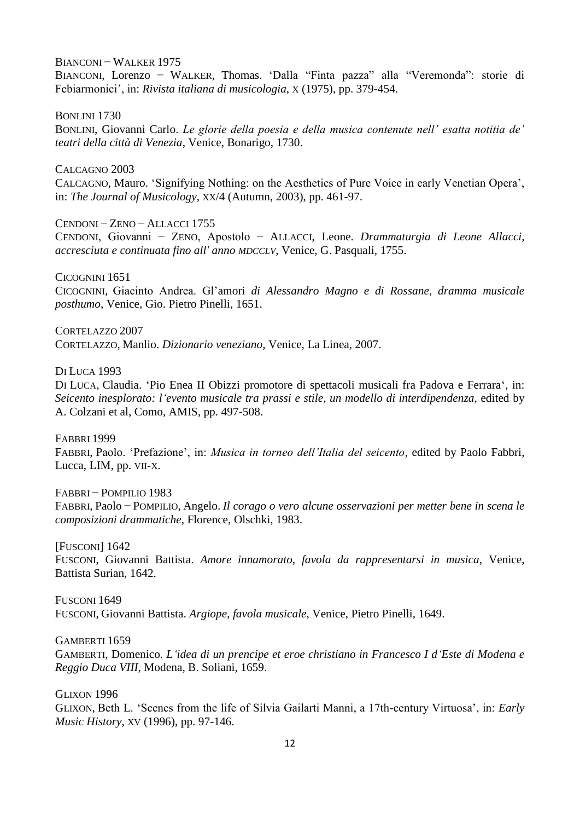BIANCONI – WALKER 1975

BIANCONI, Lorenzo − WALKER, Thomas. ʻDalla "Finta pazza" alla "Veremonda": storie di Febiarmonici', in: *Rivista italiana di musicologia*, X (1975), pp. 379-454.

BONLINI 1730 BONLINI, Giovanni Carlo. *Le glorie della poesia e della musica contenute nell' esatta notitia de' teatri della città di Venezia*, Venice, Bonarigo, 1730.

CALCAGNO 2003

CALCAGNO, Mauro. 'Signifying Nothing: on the Aesthetics of Pure Voice in early Venetian Opera', in: *The Journal of Musicology*, XX/4 (Autumn, 2003), pp. 461-97.

CENDONI − ZENO − ALLACCI 1755 CENDONI, Giovanni − ZENO, Apostolo − ALLACCI, Leone. *Drammaturgia di Leone Allacci, accresciuta e continuata fino all' anno MDCCLV*, Venice, G. Pasquali, 1755.

CICOGNINI 1651 CICOGNINI, Giacinto Andrea. Gl'amori *di Alessandro Magno e di Rossane, dramma musicale posthumo*, Venice, Gio. Pietro Pinelli, 1651.

CORTELAZZO 2007 CORTELAZZO, Manlio. *Dizionario veneziano*, Venice, La Linea, 2007.

DI LUCA 1993

DI LUCA, Claudia. 'Pio Enea II Obizzi promotore di spettacoli musicali fra Padova e Ferrara', in: *Seicento inesplorato: l'evento musicale tra prassi e stile, un modello di interdipendenza*, edited by A. Colzani et al, Como, AMIS, pp. 497-508.

FABBRI 1999

FABBRI, Paolo. 'Prefazione', in: *Musica in torneo dell'Italia del seicento*, edited by Paolo Fabbri, Lucca, LIM, pp. VII-X.

FABBRI − POMPILIO 1983

FABBRI, Paolo − POMPILIO, Angelo. *Il corago o vero alcune osservazioni per metter bene in scena le composizioni drammatiche*, Florence, Olschki, 1983.

[FUSCONI] 1642 FUSCONI, Giovanni Battista. *Amore innamorato, favola da rappresentarsi in musica*, Venice, Battista Surian, 1642.

FUSCONI 1649 FUSCONI, Giovanni Battista. *Argiope, favola musicale*, Venice, Pietro Pinelli, 1649.

GAMBERTI 1659

GAMBERTI, Domenico. *L'idea di un prencipe et eroe christiano in Francesco I d'Este di Modena e Reggio Duca VIII*, Modena, B. Soliani, 1659.

GLIXON 1996

GLIXON, Beth L. 'Scenes from the life of Silvia Gailarti Manni, a 17th-century Virtuosa', in: *Early Music History*, XV (1996), pp. 97-146.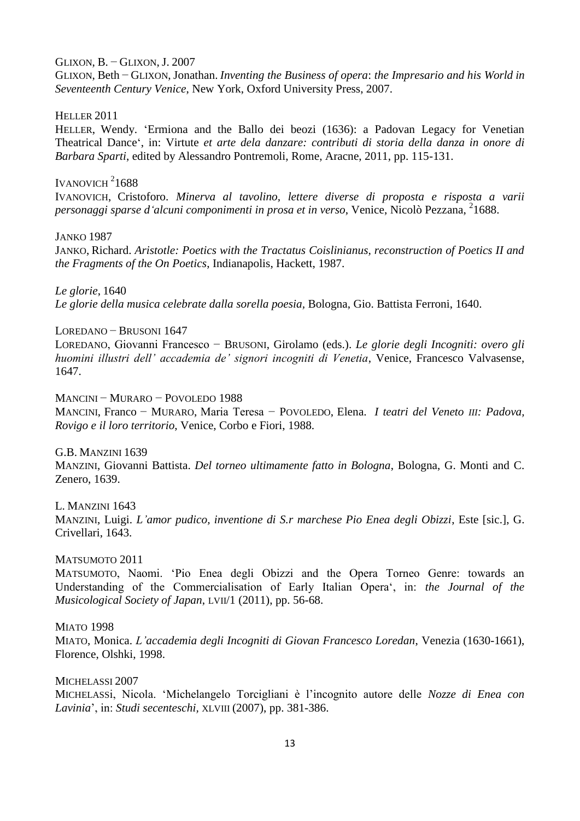#### GLIXON, B. − GLIXON, J. 2007

GLIXON, Beth − GLIXON, Jonathan. *Inventing the Business of opera*: *the Impresario and his World in Seventeenth Century Venice*, New York, Oxford University Press, 2007.

#### HELLER 2011

HELLER, Wendy. 'Ermiona and the Ballo dei beozi (1636): a Padovan Legacy for Venetian Theatrical Dance', in: Virtute *et arte dela danzare: contributi di storia della danza in onore di Barbara Sparti*, edited by Alessandro Pontremoli, Rome, Aracne, 2011, pp. 115-131.

# IVANOVICH $21688$

IVANOVICH, Cristoforo. *Minerva al tavolino, lettere diverse di proposta e risposta a varii*  personaggi sparse d'alcuni componimenti in prosa et in verso, Venice, Nicolò Pezzana, <sup>2</sup>1688.

JANKO 1987

JANKO, Richard. *Aristotle: Poetics with the Tractatus Coislinianus, reconstruction of Poetics II and the Fragments of the On Poetics*, Indianapolis, Hackett, 1987.

*Le glorie*, 1640 *Le glorie della musica celebrate dalla sorella poesia,* Bologna, Gio. Battista Ferroni, 1640.

# LOREDANO − BRUSONI 1647

LOREDANO, Giovanni Francesco − BRUSONI, Girolamo (eds.). *Le glorie degli Incogniti: overo gli huomini illustri dell' accademia de' signori incogniti di Venetia*, Venice, Francesco Valvasense, 1647.

#### MANCINI − MURARO − POVOLEDO 1988

MANCINI, Franco − MURARO, Maria Teresa − POVOLEDO, Elena. *I teatri del Veneto III: Padova, Rovigo e il loro territorio*, Venice, Corbo e Fiori, 1988.

G.B. MANZINI 1639

MANZINI, Giovanni Battista. *Del torneo ultimamente fatto in Bologna*, Bologna, G. Monti and C. Zenero, 1639.

L. MANZINI 1643 MANZINI, Luigi. *L'amor pudico, inventione di S.r marchese Pio Enea degli Obizzi*, Este [sic.], G. Crivellari, 1643.

#### MATSUMOTO 2011

MATSUMOTO, Naomi. 'Pio Enea degli Obizzi and the Opera Torneo Genre: towards an Understanding of the Commercialisation of Early Italian Opera', in: *the Journal of the Musicological Society of Japan*, LVII/1 (2011), pp. 56-68.

#### **MIATO 1998**

MIATO, Monica. *L'accademia degli Incogniti di Giovan Francesco Loredan*, Venezia (1630-1661), Florence, Olshki, 1998.

MICHELASSI 2007

MICHELASSi, Nicola. 'Michelangelo Torcigliani è l'incognito autore delle *Nozze di Enea con Lavinia*', in: *Studi secenteschi,* XLVIII (2007), pp. 381-386.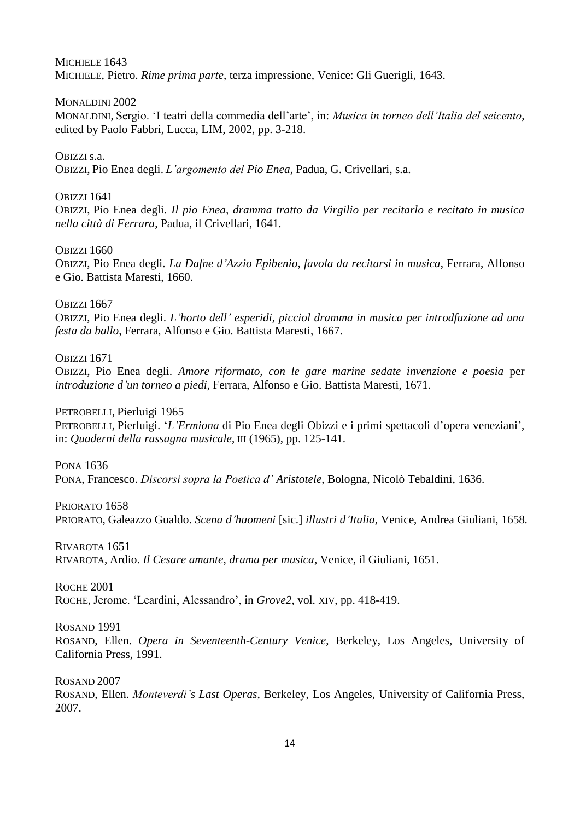MICHIELE 1643 MICHIELE, Pietro. *Rime prima parte*, terza impressione, Venice: Gli Guerigli, 1643.

# MONALDINI 2002

MONALDINI, Sergio. 'I teatri della commedia dell'arte', in: *Musica in torneo dell'Italia del seicento*, edited by Paolo Fabbri, Lucca, LIM, 2002, pp. 3-218.

# OBIZZI s.a.

OBIZZI, Pio Enea degli. *L'argomento del Pio Enea*, Padua, G. Crivellari, s.a.

# OBIZZI 1641

OBIZZI, Pio Enea degli. *Il pio Enea, dramma tratto da Virgilio per recitarlo e recitato in musica nella città di Ferrara*, Padua, il Crivellari, 1641.

# OBIZZI 1660

OBIZZI, Pio Enea degli. *La Dafne d'Azzio Epibenio, favola da recitarsi in musica*, Ferrara, Alfonso e Gio. Battista Maresti, 1660.

# OBIZZI 1667

OBIZZI, Pio Enea degli. *L'horto dell' esperidi, picciol dramma in musica per introdfuzione ad una festa da ballo*, Ferrara, Alfonso e Gio. Battista Maresti, 1667.

# OBIZZI 1671

OBIZZI, Pio Enea degli. *Amore riformato, con le gare marine sedate invenzione e poesia* per *introduzione d'un torneo a piedi*, Ferrara, Alfonso e Gio. Battista Maresti, 1671.

PETROBELLI, Pierluigi 1965

PETROBELLI, Pierluigi. '*L'Ermiona* di Pio Enea degli Obizzi e i primi spettacoli d'opera veneziani', in: *Quaderni della rassagna musicale*, III (1965), pp. 125-141.

# PONA 1636

PONA, Francesco. *Discorsi sopra la Poetica d' Aristotele*, Bologna, Nicolò Tebaldini, 1636.

PRIORATO 1658 PRIORATO, Galeazzo Gualdo. *Scena d'huomeni* [sic.] *illustri d'Italia*, Venice, Andrea Giuliani, 1658.

RIVAROTA 1651 RIVAROTA, Ardio. *Il Cesare amante, drama per musica*, Venice, il Giuliani, 1651.

ROCHE 2001 ROCHE, Jerome. 'Leardini, Alessandro', in *Grove2*, vol. XIV, pp. 418-419.

ROSAND 1991

ROSAND, Ellen. *Opera in Seventeenth-Century Venice*, Berkeley, Los Angeles, University of California Press, 1991.

ROSAND 2007

ROSAND, Ellen. *Monteverdi's Last Operas*, Berkeley, Los Angeles, University of California Press, 2007.